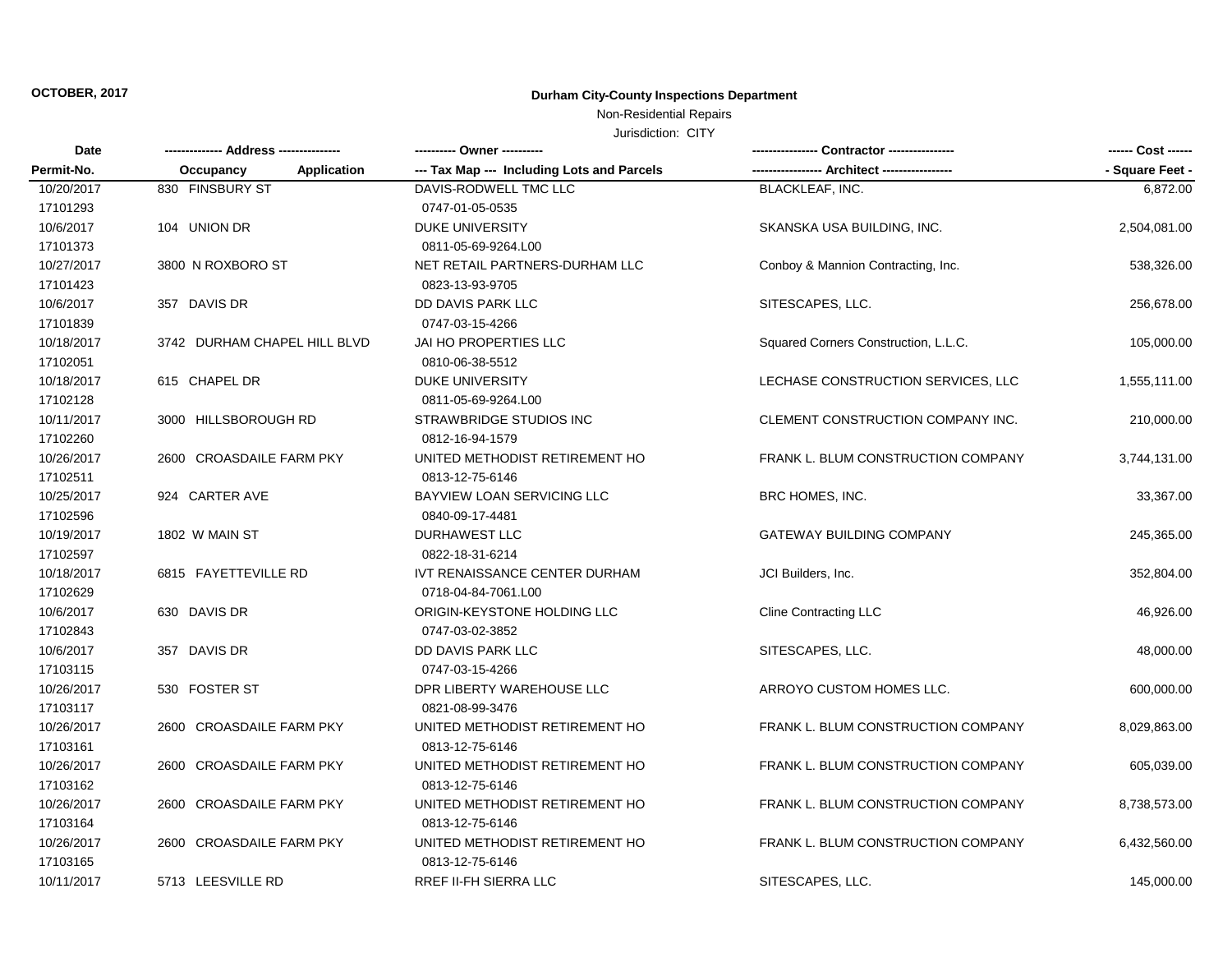### Non-Residential Repairs

| Date<br>Permit-No. |                                 |                                            |                                      | ------ Cost ------ |
|--------------------|---------------------------------|--------------------------------------------|--------------------------------------|--------------------|
|                    | Occupancy<br><b>Application</b> | --- Tax Map --- Including Lots and Parcels | ---- Architect --------              | - Square Feet -    |
| 10/20/2017         | 830 FINSBURY ST                 | DAVIS-RODWELL TMC LLC                      | <b>BLACKLEAF, INC.</b>               | 6,872.00           |
| 17101293           |                                 | 0747-01-05-0535                            |                                      |                    |
| 10/6/2017          | 104 UNION DR                    | <b>DUKE UNIVERSITY</b>                     | SKANSKA USA BUILDING, INC.           | 2,504,081.00       |
| 17101373           |                                 | 0811-05-69-9264.L00                        |                                      |                    |
| 10/27/2017         | 3800 N ROXBORO ST               | NET RETAIL PARTNERS-DURHAM LLC             | Conboy & Mannion Contracting, Inc.   | 538,326.00         |
| 17101423           |                                 | 0823-13-93-9705                            |                                      |                    |
| 10/6/2017          | 357 DAVIS DR                    | DD DAVIS PARK LLC                          | SITESCAPES, LLC.                     | 256,678.00         |
| 17101839           |                                 | 0747-03-15-4266                            |                                      |                    |
| 10/18/2017         | 3742 DURHAM CHAPEL HILL BLVD    | JAI HO PROPERTIES LLC                      | Squared Corners Construction, L.L.C. | 105,000.00         |
| 17102051           |                                 | 0810-06-38-5512                            |                                      |                    |
| 10/18/2017         | 615 CHAPEL DR                   | <b>DUKE UNIVERSITY</b>                     | LECHASE CONSTRUCTION SERVICES, LLC   | 1,555,111.00       |
| 17102128           |                                 | 0811-05-69-9264.L00                        |                                      |                    |
| 10/11/2017         | 3000 HILLSBOROUGH RD            | STRAWBRIDGE STUDIOS INC                    | CLEMENT CONSTRUCTION COMPANY INC.    | 210,000.00         |
| 17102260           |                                 | 0812-16-94-1579                            |                                      |                    |
| 10/26/2017         | 2600 CROASDAILE FARM PKY        | UNITED METHODIST RETIREMENT HO             | FRANK L. BLUM CONSTRUCTION COMPANY   | 3,744,131.00       |
| 17102511           |                                 | 0813-12-75-6146                            |                                      |                    |
| 10/25/2017         | 924 CARTER AVE                  | <b>BAYVIEW LOAN SERVICING LLC</b>          | BRC HOMES, INC.                      | 33,367.00          |
| 17102596           |                                 | 0840-09-17-4481                            |                                      |                    |
| 10/19/2017         | 1802 W MAIN ST                  | <b>DURHAWEST LLC</b>                       | <b>GATEWAY BUILDING COMPANY</b>      | 245,365.00         |
| 17102597           |                                 | 0822-18-31-6214                            |                                      |                    |
| 10/18/2017         | 6815 FAYETTEVILLE RD            | IVT RENAISSANCE CENTER DURHAM              | JCI Builders, Inc.                   | 352,804.00         |
| 17102629           |                                 | 0718-04-84-7061.L00                        |                                      |                    |
| 10/6/2017          | 630 DAVIS DR                    | ORIGIN-KEYSTONE HOLDING LLC                | <b>Cline Contracting LLC</b>         | 46,926.00          |
| 17102843           |                                 | 0747-03-02-3852                            |                                      |                    |
| 10/6/2017          | 357 DAVIS DR                    | DD DAVIS PARK LLC                          | SITESCAPES, LLC.                     | 48,000.00          |
| 17103115           |                                 | 0747-03-15-4266                            |                                      |                    |
| 10/26/2017         | 530 FOSTER ST                   | DPR LIBERTY WAREHOUSE LLC                  | ARROYO CUSTOM HOMES LLC.             | 600,000.00         |
| 17103117           |                                 | 0821-08-99-3476                            |                                      |                    |
| 10/26/2017         | 2600 CROASDAILE FARM PKY        | UNITED METHODIST RETIREMENT HO             | FRANK L. BLUM CONSTRUCTION COMPANY   | 8,029,863.00       |
| 17103161           |                                 | 0813-12-75-6146                            |                                      |                    |
| 10/26/2017         | 2600 CROASDAILE FARM PKY        | UNITED METHODIST RETIREMENT HO             | FRANK L. BLUM CONSTRUCTION COMPANY   | 605,039.00         |
| 17103162           |                                 | 0813-12-75-6146                            |                                      |                    |
| 10/26/2017         | 2600 CROASDAILE FARM PKY        | UNITED METHODIST RETIREMENT HO             | FRANK L. BLUM CONSTRUCTION COMPANY   | 8,738,573.00       |
| 17103164           |                                 | 0813-12-75-6146                            |                                      |                    |
| 10/26/2017         | 2600 CROASDAILE FARM PKY        | UNITED METHODIST RETIREMENT HO             | FRANK L. BLUM CONSTRUCTION COMPANY   | 6,432,560.00       |
| 17103165           |                                 | 0813-12-75-6146                            |                                      |                    |
| 10/11/2017         | 5713 LEESVILLE RD               | RREF II-FH SIERRA LLC                      | SITESCAPES, LLC.                     | 145,000.00         |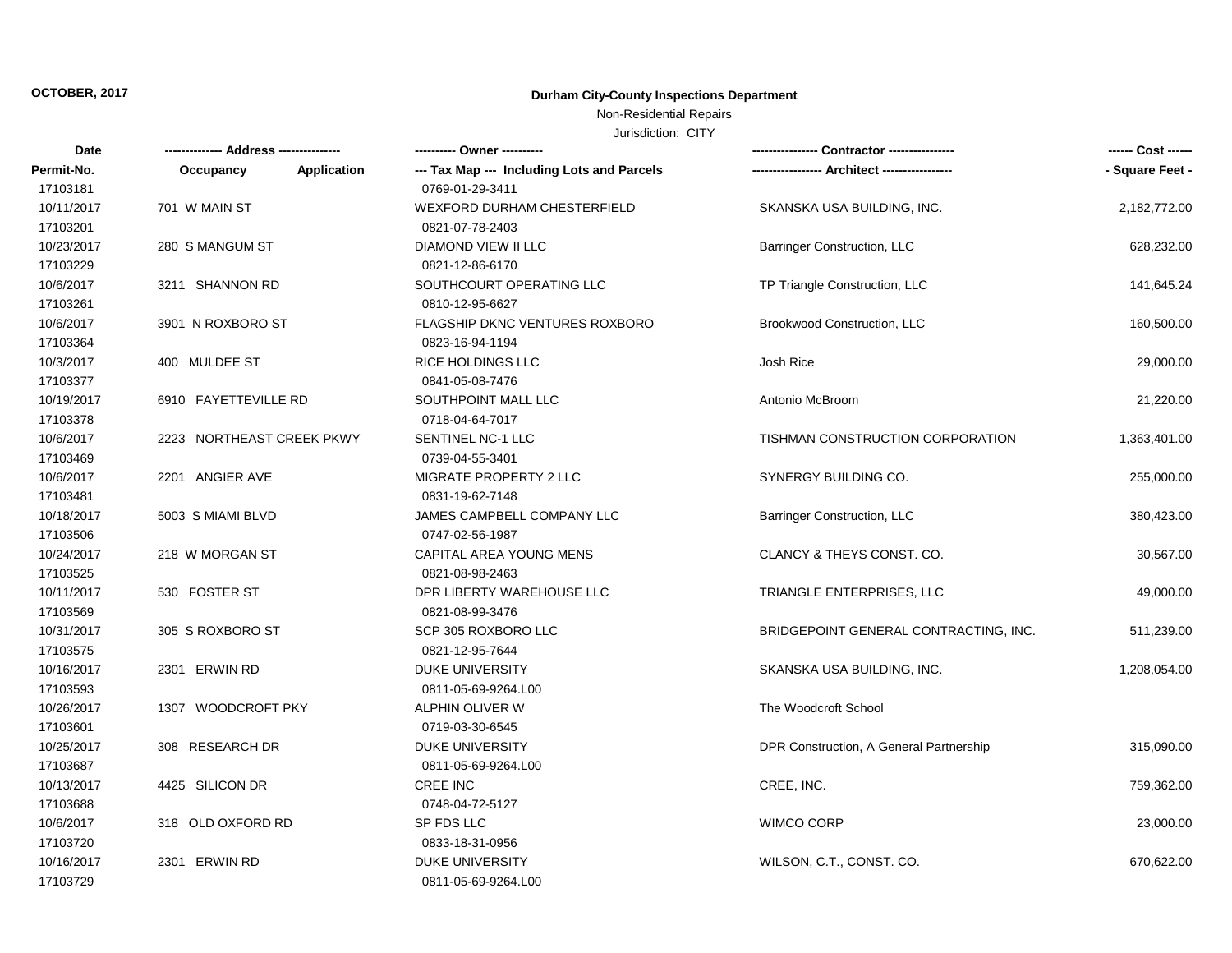### Non-Residential Repairs

| Date       | ------ Address --------------- |                                            | ---- Contractor ----------------        | ------ Cost ------ |
|------------|--------------------------------|--------------------------------------------|-----------------------------------------|--------------------|
| Permit-No. | Application<br>Occupancy       | --- Tax Map --- Including Lots and Parcels |                                         | - Square Feet -    |
| 17103181   |                                | 0769-01-29-3411                            |                                         |                    |
| 10/11/2017 | 701 W MAIN ST                  | <b>WEXFORD DURHAM CHESTERFIELD</b>         | SKANSKA USA BUILDING, INC.              | 2,182,772.00       |
| 17103201   |                                | 0821-07-78-2403                            |                                         |                    |
| 10/23/2017 | 280 S MANGUM ST                | DIAMOND VIEW II LLC                        | <b>Barringer Construction, LLC</b>      | 628,232.00         |
| 17103229   |                                | 0821-12-86-6170                            |                                         |                    |
| 10/6/2017  | 3211 SHANNON RD                | SOUTHCOURT OPERATING LLC                   | TP Triangle Construction, LLC           | 141,645.24         |
| 17103261   |                                | 0810-12-95-6627                            |                                         |                    |
| 10/6/2017  | 3901 N ROXBORO ST              | <b>FLAGSHIP DKNC VENTURES ROXBORO</b>      | Brookwood Construction, LLC             | 160,500.00         |
| 17103364   |                                | 0823-16-94-1194                            |                                         |                    |
| 10/3/2017  | 400 MULDEE ST                  | RICE HOLDINGS LLC                          | Josh Rice                               | 29,000.00          |
| 17103377   |                                | 0841-05-08-7476                            |                                         |                    |
| 10/19/2017 | 6910 FAYETTEVILLE RD           | SOUTHPOINT MALL LLC                        | Antonio McBroom                         | 21,220.00          |
| 17103378   |                                | 0718-04-64-7017                            |                                         |                    |
| 10/6/2017  | 2223 NORTHEAST CREEK PKWY      | SENTINEL NC-1 LLC                          | TISHMAN CONSTRUCTION CORPORATION        | 1,363,401.00       |
| 17103469   |                                | 0739-04-55-3401                            |                                         |                    |
| 10/6/2017  | 2201 ANGIER AVE                | MIGRATE PROPERTY 2 LLC                     | SYNERGY BUILDING CO.                    | 255,000.00         |
| 17103481   |                                | 0831-19-62-7148                            |                                         |                    |
| 10/18/2017 | 5003 S MIAMI BLVD              | JAMES CAMPBELL COMPANY LLC                 | <b>Barringer Construction, LLC</b>      | 380,423.00         |
| 17103506   |                                | 0747-02-56-1987                            |                                         |                    |
| 10/24/2017 | 218 W MORGAN ST                | CAPITAL AREA YOUNG MENS                    | CLANCY & THEYS CONST. CO.               | 30,567.00          |
| 17103525   |                                | 0821-08-98-2463                            |                                         |                    |
| 10/11/2017 | 530 FOSTER ST                  | DPR LIBERTY WAREHOUSE LLC                  | TRIANGLE ENTERPRISES, LLC               | 49,000.00          |
| 17103569   |                                | 0821-08-99-3476                            |                                         |                    |
| 10/31/2017 | 305 S ROXBORO ST               | SCP 305 ROXBORO LLC                        | BRIDGEPOINT GENERAL CONTRACTING, INC.   | 511,239.00         |
| 17103575   |                                | 0821-12-95-7644                            |                                         |                    |
| 10/16/2017 | 2301 ERWIN RD                  | <b>DUKE UNIVERSITY</b>                     | SKANSKA USA BUILDING, INC.              | 1,208,054.00       |
| 17103593   |                                | 0811-05-69-9264.L00                        |                                         |                    |
| 10/26/2017 | 1307 WOODCROFT PKY             | ALPHIN OLIVER W                            | The Woodcroft School                    |                    |
| 17103601   |                                | 0719-03-30-6545                            |                                         |                    |
| 10/25/2017 | 308 RESEARCH DR                | DUKE UNIVERSITY                            | DPR Construction, A General Partnership | 315,090.00         |
| 17103687   |                                | 0811-05-69-9264.L00                        |                                         |                    |
| 10/13/2017 | 4425 SILICON DR                | <b>CREE INC</b>                            | CREE, INC.                              | 759,362.00         |
| 17103688   |                                | 0748-04-72-5127                            |                                         |                    |
| 10/6/2017  | 318 OLD OXFORD RD              | SP FDS LLC                                 | <b>WIMCO CORP</b>                       | 23,000.00          |
| 17103720   |                                | 0833-18-31-0956                            |                                         |                    |
| 10/16/2017 | 2301 ERWIN RD                  | <b>DUKE UNIVERSITY</b>                     | WILSON, C.T., CONST. CO.                | 670,622.00         |
| 17103729   |                                | 0811-05-69-9264.L00                        |                                         |                    |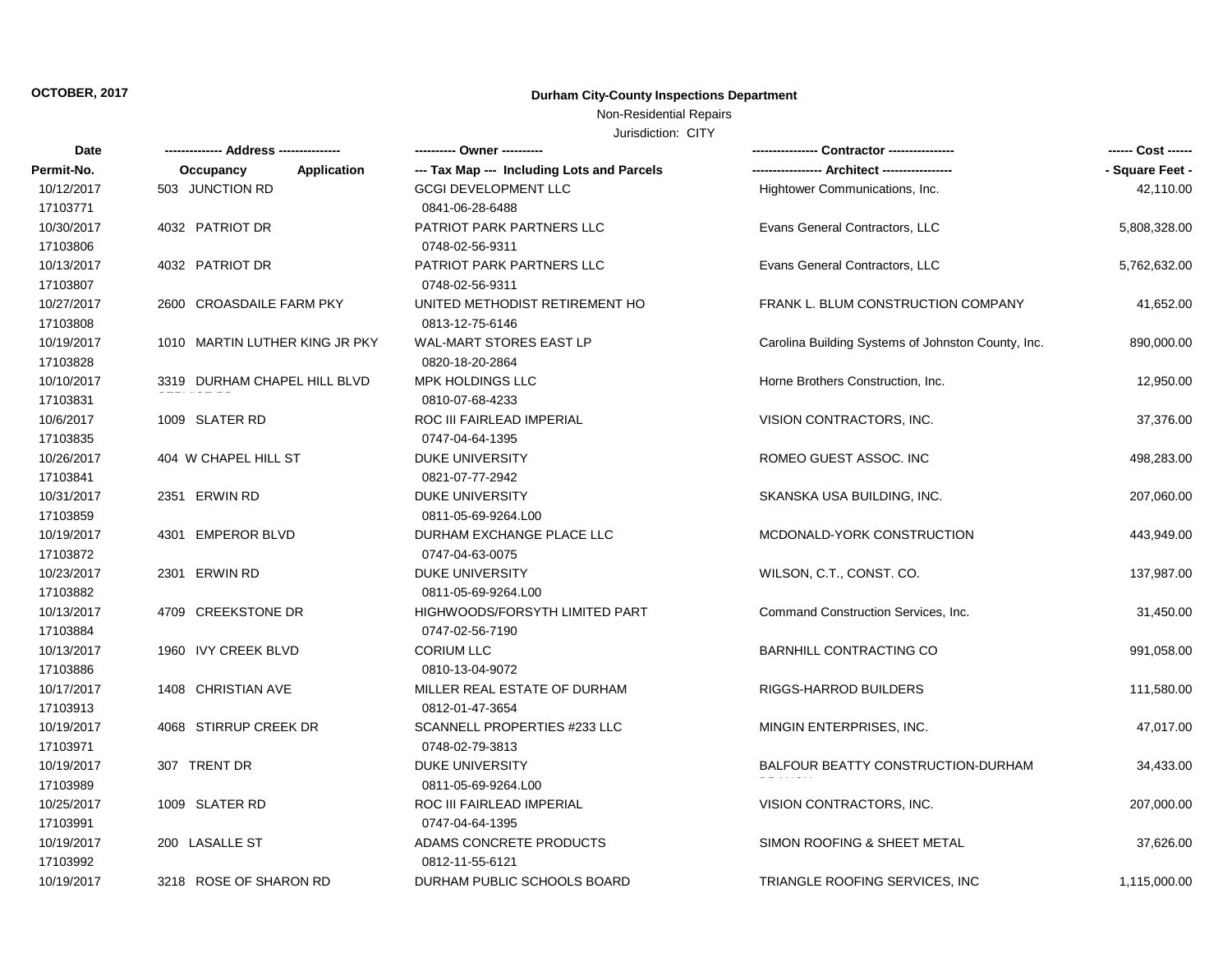### Non-Residential Repairs

| Date       |                                 |                                            |                                                    | ------ Cost ------ |
|------------|---------------------------------|--------------------------------------------|----------------------------------------------------|--------------------|
| Permit-No. | <b>Application</b><br>Occupancy | --- Tax Map --- Including Lots and Parcels |                                                    | - Square Feet -    |
| 10/12/2017 | 503 JUNCTION RD                 | <b>GCGI DEVELOPMENT LLC</b>                | Hightower Communications, Inc.                     | 42,110.00          |
| 17103771   |                                 | 0841-06-28-6488                            |                                                    |                    |
| 10/30/2017 | 4032 PATRIOT DR                 | PATRIOT PARK PARTNERS LLC                  | Evans General Contractors, LLC                     | 5,808,328.00       |
| 17103806   |                                 | 0748-02-56-9311                            |                                                    |                    |
| 10/13/2017 | 4032 PATRIOT DR                 | PATRIOT PARK PARTNERS LLC                  | Evans General Contractors, LLC                     | 5,762,632.00       |
| 17103807   |                                 | 0748-02-56-9311                            |                                                    |                    |
| 10/27/2017 | 2600 CROASDAILE FARM PKY        | UNITED METHODIST RETIREMENT HO             | FRANK L. BLUM CONSTRUCTION COMPANY                 | 41,652.00          |
| 17103808   |                                 | 0813-12-75-6146                            |                                                    |                    |
| 10/19/2017 | 1010 MARTIN LUTHER KING JR PKY  | <b>WAL-MART STORES EAST LP</b>             | Carolina Building Systems of Johnston County, Inc. | 890,000.00         |
| 17103828   |                                 | 0820-18-20-2864                            |                                                    |                    |
| 10/10/2017 | 3319 DURHAM CHAPEL HILL BLVD    | MPK HOLDINGS LLC                           | Horne Brothers Construction, Inc.                  | 12,950.00          |
| 17103831   |                                 | 0810-07-68-4233                            |                                                    |                    |
| 10/6/2017  | 1009 SLATER RD                  | ROC III FAIRLEAD IMPERIAL                  | VISION CONTRACTORS, INC.                           | 37,376.00          |
| 17103835   |                                 | 0747-04-64-1395                            |                                                    |                    |
| 10/26/2017 | 404 W CHAPEL HILL ST            | <b>DUKE UNIVERSITY</b>                     | ROMEO GUEST ASSOC. INC                             | 498,283.00         |
| 17103841   |                                 | 0821-07-77-2942                            |                                                    |                    |
| 10/31/2017 | 2351 ERWIN RD                   | <b>DUKE UNIVERSITY</b>                     | SKANSKA USA BUILDING, INC.                         | 207,060.00         |
| 17103859   |                                 | 0811-05-69-9264.L00                        |                                                    |                    |
| 10/19/2017 | 4301 EMPEROR BLVD               | DURHAM EXCHANGE PLACE LLC                  | MCDONALD-YORK CONSTRUCTION                         | 443,949.00         |
| 17103872   |                                 | 0747-04-63-0075                            |                                                    |                    |
| 10/23/2017 | 2301 ERWIN RD                   | <b>DUKE UNIVERSITY</b>                     | WILSON, C.T., CONST. CO.                           | 137,987.00         |
| 17103882   |                                 | 0811-05-69-9264.L00                        |                                                    |                    |
| 10/13/2017 | 4709 CREEKSTONE DR              | HIGHWOODS/FORSYTH LIMITED PART             | Command Construction Services, Inc.                | 31,450.00          |
| 17103884   |                                 | 0747-02-56-7190                            |                                                    |                    |
| 10/13/2017 | 1960 IVY CREEK BLVD             | <b>CORIUM LLC</b>                          | <b>BARNHILL CONTRACTING CO</b>                     | 991,058.00         |
| 17103886   |                                 | 0810-13-04-9072                            |                                                    |                    |
| 10/17/2017 | 1408 CHRISTIAN AVE              | MILLER REAL ESTATE OF DURHAM               | RIGGS-HARROD BUILDERS                              | 111,580.00         |
| 17103913   |                                 | 0812-01-47-3654                            |                                                    |                    |
| 10/19/2017 | 4068 STIRRUP CREEK DR           | <b>SCANNELL PROPERTIES #233 LLC</b>        | MINGIN ENTERPRISES, INC.                           | 47,017.00          |
| 17103971   |                                 | 0748-02-79-3813                            |                                                    |                    |
| 10/19/2017 | 307 TRENT DR                    | <b>DUKE UNIVERSITY</b>                     | BALFOUR BEATTY CONSTRUCTION-DURHAM                 | 34,433.00          |
| 17103989   |                                 | 0811-05-69-9264.L00                        |                                                    |                    |
| 10/25/2017 | 1009 SLATER RD                  | ROC III FAIRLEAD IMPERIAL                  | VISION CONTRACTORS, INC.                           | 207,000.00         |
| 17103991   |                                 | 0747-04-64-1395                            |                                                    |                    |
| 10/19/2017 | 200 LASALLE ST                  | ADAMS CONCRETE PRODUCTS                    | SIMON ROOFING & SHEET METAL                        | 37,626.00          |
| 17103992   |                                 | 0812-11-55-6121                            |                                                    |                    |
| 10/19/2017 | 3218 ROSE OF SHARON RD          | DURHAM PUBLIC SCHOOLS BOARD                | TRIANGLE ROOFING SERVICES, INC.                    | 1,115,000.00       |